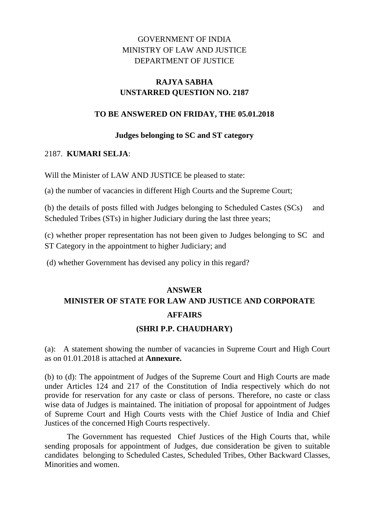## GOVERNMENT OF INDIA MINISTRY OF LAW AND JUSTICE DEPARTMENT OF JUSTICE

## **RAJYA SABHA UNSTARRED QUESTION NO. 2187**

### **TO BE ANSWERED ON FRIDAY, THE 05.01.2018**

#### **Judges belonging to SC and ST category**

#### 2187. **KUMARI SELJA**:

Will the Minister of LAW AND JUSTICE be pleased to state:

(a) the number of vacancies in different High Courts and the Supreme Court;

(b) the details of posts filled with Judges belonging to Scheduled Castes (SCs) and Scheduled Tribes (STs) in higher Judiciary during the last three years;

(c) whether proper representation has not been given to Judges belonging to SC and ST Category in the appointment to higher Judiciary; and

(d) whether Government has devised any policy in this regard?

# **ANSWER MINISTER OF STATE FOR LAW AND JUSTICE AND CORPORATE AFFAIRS**

#### **(SHRI P.P. CHAUDHARY)**

(a): A statement showing the number of vacancies in Supreme Court and High Court as on 01.01.2018 is attached at **Annexure.**

(b) to (d): The appointment of Judges of the Supreme Court and High Courts are made under Articles 124 and 217 of the Constitution of India respectively which do not provide for reservation for any caste or class of persons. Therefore, no caste or class wise data of Judges is maintained. The initiation of proposal for appointment of Judges of Supreme Court and High Courts vests with the Chief Justice of India and Chief Justices of the concerned High Courts respectively.

The Government has requested Chief Justices of the High Courts that, while sending proposals for appointment of Judges, due consideration be given to suitable candidates belonging to Scheduled Castes, Scheduled Tribes, Other Backward Classes, Minorities and women.